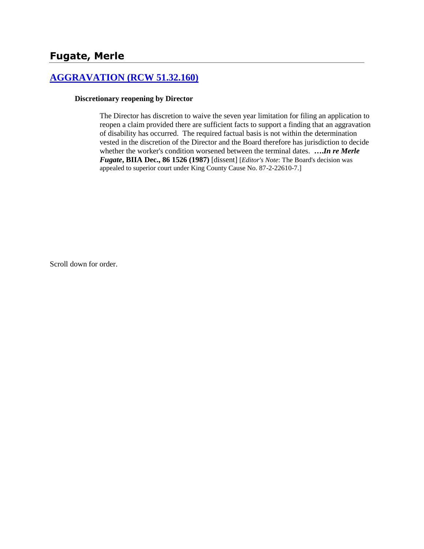# **[AGGRAVATION \(RCW 51.32.160\)](http://www.biia.wa.gov/SDSubjectIndex.html#AGGRAVATION)**

#### **Discretionary reopening by Director**

The Director has discretion to waive the seven year limitation for filing an application to reopen a claim provided there are sufficient facts to support a finding that an aggravation of disability has occurred. The required factual basis is not within the determination vested in the discretion of the Director and the Board therefore has jurisdiction to decide whether the worker's condition worsened between the terminal dates. **….***In re Merle Fugate***, BIIA Dec., 86 1526 (1987)** [dissent] [*Editor's Note*: The Board's decision was appealed to superior court under King County Cause No. 87-2-22610-7.]

Scroll down for order.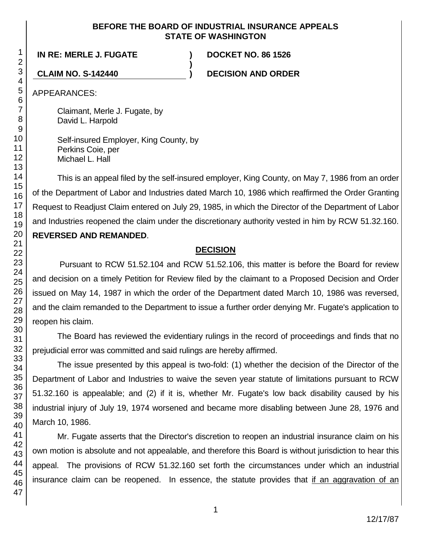### **BEFORE THE BOARD OF INDUSTRIAL INSURANCE APPEALS STATE OF WASHINGTON**

**)**

**IN RE: MERLE J. FUGATE ) DOCKET NO. 86 1526**

**CLAIM NO. S-142440 ) DECISION AND ORDER**

APPEARANCES:

Claimant, Merle J. Fugate, by David L. Harpold

Self-insured Employer, King County, by Perkins Coie, per Michael L. Hall

This is an appeal filed by the self-insured employer, King County, on May 7, 1986 from an order of the Department of Labor and Industries dated March 10, 1986 which reaffirmed the Order Granting Request to Readjust Claim entered on July 29, 1985, in which the Director of the Department of Labor and Industries reopened the claim under the discretionary authority vested in him by RCW 51.32.160. **REVERSED AND REMANDED**.

# **DECISION**

Pursuant to RCW 51.52.104 and RCW 51.52.106, this matter is before the Board for review and decision on a timely Petition for Review filed by the claimant to a Proposed Decision and Order issued on May 14, 1987 in which the order of the Department dated March 10, 1986 was reversed, and the claim remanded to the Department to issue a further order denying Mr. Fugate's application to reopen his claim.

The Board has reviewed the evidentiary rulings in the record of proceedings and finds that no prejudicial error was committed and said rulings are hereby affirmed.

The issue presented by this appeal is two-fold: (1) whether the decision of the Director of the Department of Labor and Industries to waive the seven year statute of limitations pursuant to RCW 51.32.160 is appealable; and (2) if it is, whether Mr. Fugate's low back disability caused by his industrial injury of July 19, 1974 worsened and became more disabling between June 28, 1976 and March 10, 1986.

Mr. Fugate asserts that the Director's discretion to reopen an industrial insurance claim on his own motion is absolute and not appealable, and therefore this Board is without jurisdiction to hear this appeal. The provisions of RCW 51.32.160 set forth the circumstances under which an industrial insurance claim can be reopened. In essence, the statute provides that if an aggravation of an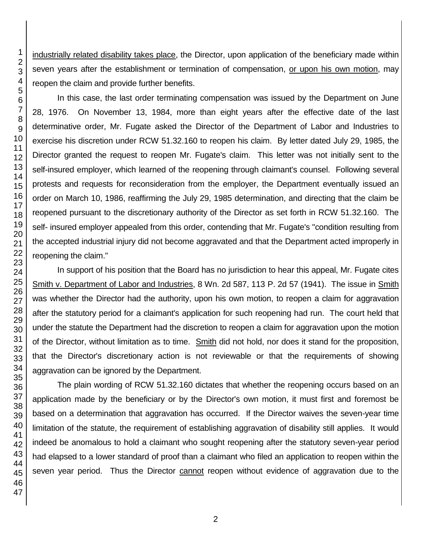industrially related disability takes place, the Director, upon application of the beneficiary made within seven years after the establishment or termination of compensation, or upon his own motion, may reopen the claim and provide further benefits.

In this case, the last order terminating compensation was issued by the Department on June 28, 1976. On November 13, 1984, more than eight years after the effective date of the last determinative order, Mr. Fugate asked the Director of the Department of Labor and Industries to exercise his discretion under RCW 51.32.160 to reopen his claim. By letter dated July 29, 1985, the Director granted the request to reopen Mr. Fugate's claim. This letter was not initially sent to the self-insured employer, which learned of the reopening through claimant's counsel. Following several protests and requests for reconsideration from the employer, the Department eventually issued an order on March 10, 1986, reaffirming the July 29, 1985 determination, and directing that the claim be reopened pursuant to the discretionary authority of the Director as set forth in RCW 51.32.160. The self- insured employer appealed from this order, contending that Mr. Fugate's "condition resulting from the accepted industrial injury did not become aggravated and that the Department acted improperly in reopening the claim."

In support of his position that the Board has no jurisdiction to hear this appeal, Mr. Fugate cites Smith v. Department of Labor and Industries, 8 Wn. 2d 587, 113 P. 2d 57 (1941). The issue in Smith was whether the Director had the authority, upon his own motion, to reopen a claim for aggravation after the statutory period for a claimant's application for such reopening had run. The court held that under the statute the Department had the discretion to reopen a claim for aggravation upon the motion of the Director, without limitation as to time. Smith did not hold, nor does it stand for the proposition, that the Director's discretionary action is not reviewable or that the requirements of showing aggravation can be ignored by the Department.

The plain wording of RCW 51.32.160 dictates that whether the reopening occurs based on an application made by the beneficiary or by the Director's own motion, it must first and foremost be based on a determination that aggravation has occurred. If the Director waives the seven-year time limitation of the statute, the requirement of establishing aggravation of disability still applies. It would indeed be anomalous to hold a claimant who sought reopening after the statutory seven-year period had elapsed to a lower standard of proof than a claimant who filed an application to reopen within the seven year period. Thus the Director cannot reopen without evidence of aggravation due to the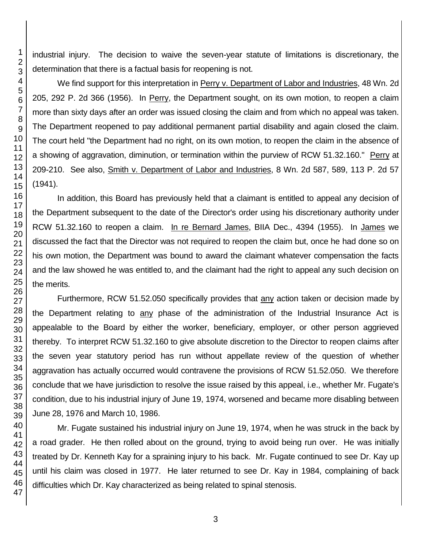industrial injury. The decision to waive the seven-year statute of limitations is discretionary, the determination that there is a factual basis for reopening is not.

We find support for this interpretation in Perry v. Department of Labor and Industries, 48 Wn. 2d 205, 292 P. 2d 366 (1956). In Perry, the Department sought, on its own motion, to reopen a claim more than sixty days after an order was issued closing the claim and from which no appeal was taken. The Department reopened to pay additional permanent partial disability and again closed the claim. The court held "the Department had no right, on its own motion, to reopen the claim in the absence of a showing of aggravation, diminution, or termination within the purview of RCW 51.32.160." Perry at 209-210. See also, Smith v. Department of Labor and Industries, 8 Wn. 2d 587, 589, 113 P. 2d 57 (1941).

In addition, this Board has previously held that a claimant is entitled to appeal any decision of the Department subsequent to the date of the Director's order using his discretionary authority under RCW 51.32.160 to reopen a claim. In re Bernard James, BIIA Dec., 4394 (1955). In James we discussed the fact that the Director was not required to reopen the claim but, once he had done so on his own motion, the Department was bound to award the claimant whatever compensation the facts and the law showed he was entitled to, and the claimant had the right to appeal any such decision on the merits.

Furthermore, RCW 51.52.050 specifically provides that any action taken or decision made by the Department relating to any phase of the administration of the Industrial Insurance Act is appealable to the Board by either the worker, beneficiary, employer, or other person aggrieved thereby. To interpret RCW 51.32.160 to give absolute discretion to the Director to reopen claims after the seven year statutory period has run without appellate review of the question of whether aggravation has actually occurred would contravene the provisions of RCW 51.52.050. We therefore conclude that we have jurisdiction to resolve the issue raised by this appeal, i.e., whether Mr. Fugate's condition, due to his industrial injury of June 19, 1974, worsened and became more disabling between June 28, 1976 and March 10, 1986.

Mr. Fugate sustained his industrial injury on June 19, 1974, when he was struck in the back by a road grader. He then rolled about on the ground, trying to avoid being run over. He was initially treated by Dr. Kenneth Kay for a spraining injury to his back. Mr. Fugate continued to see Dr. Kay up until his claim was closed in 1977. He later returned to see Dr. Kay in 1984, complaining of back difficulties which Dr. Kay characterized as being related to spinal stenosis.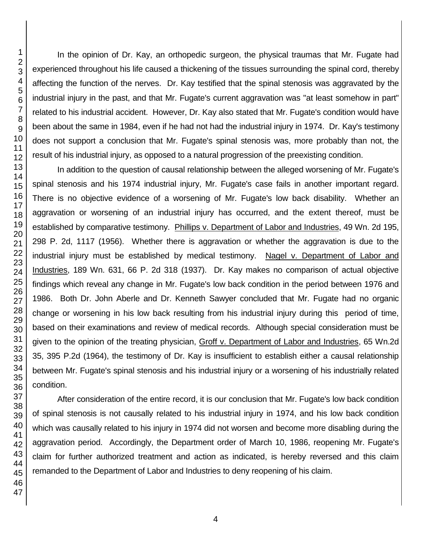In the opinion of Dr. Kay, an orthopedic surgeon, the physical traumas that Mr. Fugate had experienced throughout his life caused a thickening of the tissues surrounding the spinal cord, thereby affecting the function of the nerves. Dr. Kay testified that the spinal stenosis was aggravated by the industrial injury in the past, and that Mr. Fugate's current aggravation was "at least somehow in part" related to his industrial accident. However, Dr. Kay also stated that Mr. Fugate's condition would have been about the same in 1984, even if he had not had the industrial injury in 1974. Dr. Kay's testimony does not support a conclusion that Mr. Fugate's spinal stenosis was, more probably than not, the result of his industrial injury, as opposed to a natural progression of the preexisting condition.

In addition to the question of causal relationship between the alleged worsening of Mr. Fugate's spinal stenosis and his 1974 industrial injury, Mr. Fugate's case fails in another important regard. There is no objective evidence of a worsening of Mr. Fugate's low back disability. Whether an aggravation or worsening of an industrial injury has occurred, and the extent thereof, must be established by comparative testimony. Phillips v. Department of Labor and Industries, 49 Wn. 2d 195, 298 P. 2d, 1117 (1956). Whether there is aggravation or whether the aggravation is due to the industrial injury must be established by medical testimony. Nagel v. Department of Labor and Industries, 189 Wn. 631, 66 P. 2d 318 (1937). Dr. Kay makes no comparison of actual objective findings which reveal any change in Mr. Fugate's low back condition in the period between 1976 and 1986. Both Dr. John Aberle and Dr. Kenneth Sawyer concluded that Mr. Fugate had no organic change or worsening in his low back resulting from his industrial injury during this period of time, based on their examinations and review of medical records. Although special consideration must be given to the opinion of the treating physician, Groff v. Department of Labor and Industries, 65 Wn.2d 35, 395 P.2d (1964), the testimony of Dr. Kay is insufficient to establish either a causal relationship between Mr. Fugate's spinal stenosis and his industrial injury or a worsening of his industrially related condition.

After consideration of the entire record, it is our conclusion that Mr. Fugate's low back condition of spinal stenosis is not causally related to his industrial injury in 1974, and his low back condition which was causally related to his injury in 1974 did not worsen and become more disabling during the aggravation period. Accordingly, the Department order of March 10, 1986, reopening Mr. Fugate's claim for further authorized treatment and action as indicated, is hereby reversed and this claim remanded to the Department of Labor and Industries to deny reopening of his claim.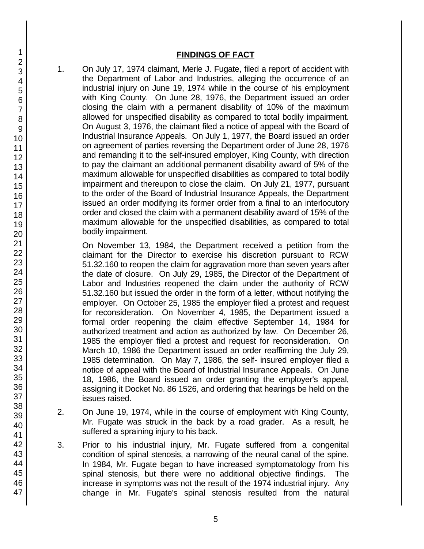### **FINDINGS OF FACT**

1. On July 17, 1974 claimant, Merle J. Fugate, filed a report of accident with the Department of Labor and Industries, alleging the occurrence of an industrial injury on June 19, 1974 while in the course of his employment with King County. On June 28, 1976, the Department issued an order closing the claim with a permanent disability of 10% of the maximum allowed for unspecified disability as compared to total bodily impairment. On August 3, 1976, the claimant filed a notice of appeal with the Board of Industrial Insurance Appeals. On July 1, 1977, the Board issued an order on agreement of parties reversing the Department order of June 28, 1976 and remanding it to the self-insured employer, King County, with direction to pay the claimant an additional permanent disability award of 5% of the maximum allowable for unspecified disabilities as compared to total bodily impairment and thereupon to close the claim. On July 21, 1977, pursuant to the order of the Board of Industrial Insurance Appeals, the Department issued an order modifying its former order from a final to an interlocutory order and closed the claim with a permanent disability award of 15% of the maximum allowable for the unspecified disabilities, as compared to total bodily impairment.

On November 13, 1984, the Department received a petition from the claimant for the Director to exercise his discretion pursuant to RCW 51.32.160 to reopen the claim for aggravation more than seven years after the date of closure. On July 29, 1985, the Director of the Department of Labor and Industries reopened the claim under the authority of RCW 51.32.160 but issued the order in the form of a letter, without notifying the employer. On October 25, 1985 the employer filed a protest and request for reconsideration. On November 4, 1985, the Department issued a formal order reopening the claim effective September 14, 1984 for authorized treatment and action as authorized by law. On December 26, 1985 the employer filed a protest and request for reconsideration. On March 10, 1986 the Department issued an order reaffirming the July 29, 1985 determination. On May 7, 1986, the self- insured employer filed a notice of appeal with the Board of Industrial Insurance Appeals. On June 18, 1986, the Board issued an order granting the employer's appeal, assigning it Docket No. 86 1526, and ordering that hearings be held on the issues raised.

- 2. On June 19, 1974, while in the course of employment with King County, Mr. Fugate was struck in the back by a road grader. As a result, he suffered a spraining injury to his back.
- 3. Prior to his industrial injury, Mr. Fugate suffered from a congenital condition of spinal stenosis, a narrowing of the neural canal of the spine. In 1984, Mr. Fugate began to have increased symptomatology from his spinal stenosis, but there were no additional objective findings. The increase in symptoms was not the result of the 1974 industrial injury. Any change in Mr. Fugate's spinal stenosis resulted from the natural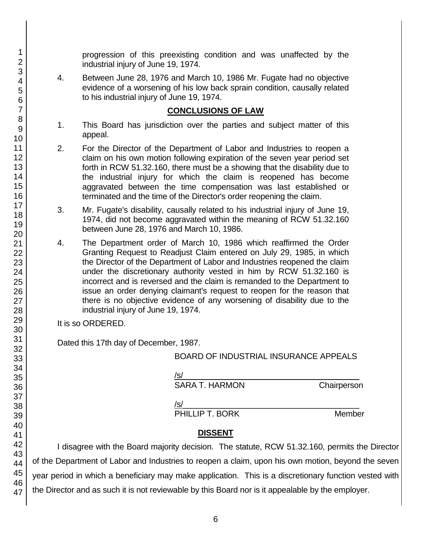progression of this preexisting condition and was unaffected by the industrial injury of June 19, 1974.

4. Between June 28, 1976 and March 10, 1986 Mr. Fugate had no objective evidence of a worsening of his low back sprain condition, causally related to his industrial injury of June 19, 1974.

## **CONCLUSIONS OF LAW**

- 1. This Board has jurisdiction over the parties and subject matter of this appeal.
- 2. For the Director of the Department of Labor and Industries to reopen a claim on his own motion following expiration of the seven year period set forth in RCW 51.32.160, there must be a showing that the disability due to the industrial injury for which the claim is reopened has become aggravated between the time compensation was last established or terminated and the time of the Director's order reopening the claim.
- 3. Mr. Fugate's disability, causally related to his industrial injury of June 19, 1974, did not become aggravated within the meaning of RCW 51.32.160 between June 28, 1976 and March 10, 1986.
- 4. The Department order of March 10, 1986 which reaffirmed the Order Granting Request to Readjust Claim entered on July 29, 1985, in which the Director of the Department of Labor and Industries reopened the claim under the discretionary authority vested in him by RCW 51.32.160 is incorrect and is reversed and the claim is remanded to the Department to issue an order denying claimant's request to reopen for the reason that there is no objective evidence of any worsening of disability due to the industrial injury of June 19, 1974.

It is so ORDERED.

Dated this 17th day of December, 1987.

BOARD OF INDUSTRIAL INSURANCE APPEALS

| /s/            |             |
|----------------|-------------|
| SARA T. HARMON | Chairperson |
| /s/<br>__      | - -         |

PHILLIP T. BORK Member

# **DISSENT**

I disagree with the Board majority decision. The statute, RCW 51.32.160, permits the Director of the Department of Labor and Industries to reopen a claim, upon his own motion, beyond the seven year period in which a beneficiary may make application. This is a discretionary function vested with the Director and as such it is not reviewable by this Board nor is it appealable by the employer.